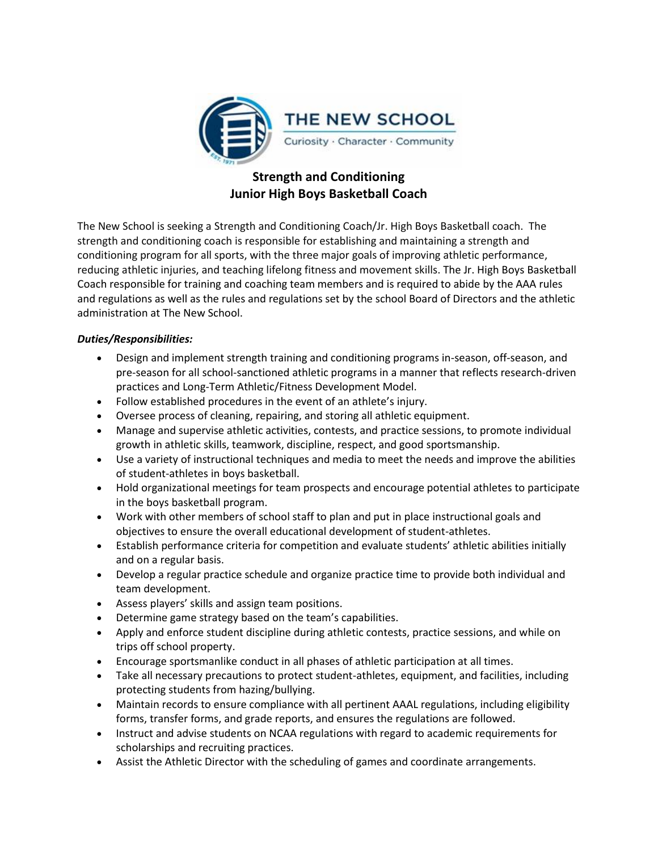

# **Strength and Conditioning Junior High Boys Basketball Coach**

The New School is seeking a Strength and Conditioning Coach/Jr. High Boys Basketball coach. The strength and conditioning coach is responsible for establishing and maintaining a strength and conditioning program for all sports, with the three major goals of improving athletic performance, reducing athletic injuries, and teaching lifelong fitness and movement skills. The Jr. High Boys Basketball Coach responsible for training and coaching team members and is required to abide by the AAA rules and regulations as well as the rules and regulations set by the school Board of Directors and the athletic administration at The New School.

## *Duties/Responsibilities:*

- Design and implement strength training and conditioning programs in-season, off-season, and pre-season for all school-sanctioned athletic programs in a manner that reflects research-driven practices and Long-Term Athletic/Fitness Development Model.
- Follow established procedures in the event of an athlete's injury.
- Oversee process of cleaning, repairing, and storing all athletic equipment.
- Manage and supervise athletic activities, contests, and practice sessions, to promote individual growth in athletic skills, teamwork, discipline, respect, and good sportsmanship.
- Use a variety of instructional techniques and media to meet the needs and improve the abilities of student-athletes in boys basketball.
- Hold organizational meetings for team prospects and encourage potential athletes to participate in the boys basketball program.
- Work with other members of school staff to plan and put in place instructional goals and objectives to ensure the overall educational development of student-athletes.
- Establish performance criteria for competition and evaluate students' athletic abilities initially and on a regular basis.
- Develop a regular practice schedule and organize practice time to provide both individual and team development.
- Assess players' skills and assign team positions.
- Determine game strategy based on the team's capabilities.
- Apply and enforce student discipline during athletic contests, practice sessions, and while on trips off school property.
- Encourage sportsmanlike conduct in all phases of athletic participation at all times.
- Take all necessary precautions to protect student-athletes, equipment, and facilities, including protecting students from hazing/bullying.
- Maintain records to ensure compliance with all pertinent AAAL regulations, including eligibility forms, transfer forms, and grade reports, and ensures the regulations are followed.
- Instruct and advise students on NCAA regulations with regard to academic requirements for scholarships and recruiting practices.
- Assist the Athletic Director with the scheduling of games and coordinate arrangements.